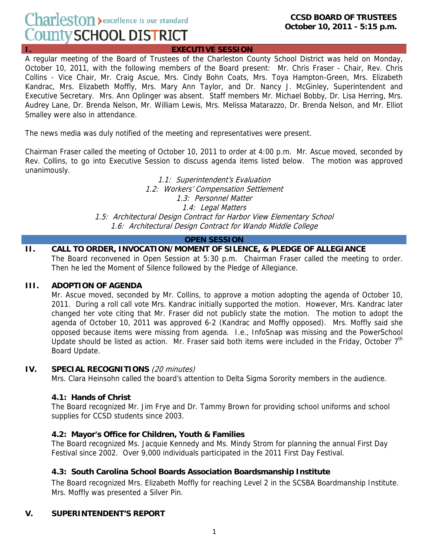# Charleston > excellence is our standard County SCHOOL DISTRICT

**EXECUTIVE SESSION** 

A regular meeting of the Board of Trustees of the Charleston County School District was held on Monday, October 10, 2011, with the following members of the Board present: Mr. Chris Fraser - Chair, Rev. Chris Collins - Vice Chair, Mr. Craig Ascue, Mrs. Cindy Bohn Coats, Mrs. Toya Hampton-Green, Mrs. Elizabeth Kandrac, Mrs. Elizabeth Moffly, Mrs. Mary Ann Taylor, and Dr. Nancy J. McGinley, Superintendent and Executive Secretary. Mrs. Ann Oplinger was absent. Staff members Mr. Michael Bobby, Dr. Lisa Herring, Mrs. Audrey Lane, Dr. Brenda Nelson, Mr. William Lewis, Mrs. Melissa Matarazzo, Dr. Brenda Nelson, and Mr. Elliot Smalley were also in attendance.

The news media was duly notified of the meeting and representatives were present.

Chairman Fraser called the meeting of October 10, 2011 to order at 4:00 p.m. Mr. Ascue moved, seconded by Rev. Collins, to go into Executive Session to discuss agenda items listed below. The motion was approved unanimously.

> 1.1: Superintendent's Evaluation 1.2: Workers' Compensation Settlement 1.3: Personnel Matter 1.4: Legal Matters 1.5: Architectural Design Contract for Harbor View Elementary School 1.6: Architectural Design Contract for Wando Middle College

#### **OPEN SESSION**

**II. CALL TO ORDER, INVOCATION/MOMENT OF SILENCE, & PLEDGE OF ALLEGIANCE**  The Board reconvened in Open Session at 5:30 p.m. Chairman Fraser called the meeting to order. Then he led the Moment of Silence followed by the Pledge of Allegiance.

#### **III. ADOPTION OF AGENDA**

Mr. Ascue moved, seconded by Mr. Collins, to approve a motion adopting the agenda of October 10, 2011. During a roll call vote Mrs. Kandrac initially supported the motion. However, Mrs. Kandrac later changed her vote citing that Mr. Fraser did not publicly state the motion. The motion to adopt the agenda of October 10, 2011 was approved 6-2 (Kandrac and Moffly opposed). Mrs. Moffly said she opposed because items were missing from agenda. I.e., InfoSnap was missing and the PowerSchool Update should be listed as action. Mr. Fraser said both items were included in the Friday, October  $7<sup>th</sup>$ Board Update.

#### **IV. SPECIAL RECOGNITIONS** (20 minutes)

Mrs. Clara Heinsohn called the board's attention to Delta Sigma Sorority members in the audience.

## **4.1: Hands of Christ**

The Board recognized Mr. Jim Frye and Dr. Tammy Brown for providing school uniforms and school supplies for CCSD students since 2003.

## **4.2: Mayor's Office for Children, Youth & Families**

The Board recognized Ms. Jacquie Kennedy and Ms. Mindy Strom for planning the annual First Day Festival since 2002. Over 9,000 individuals participated in the 2011 First Day Festival.

## **4.3: South Carolina School Boards Association Boardsmanship Institute**

The Board recognized Mrs. Elizabeth Moffly for reaching Level 2 in the SCSBA Boardmanship Institute. Mrs. Moffly was presented a Silver Pin.

#### **V. SUPERINTENDENT'S REPORT**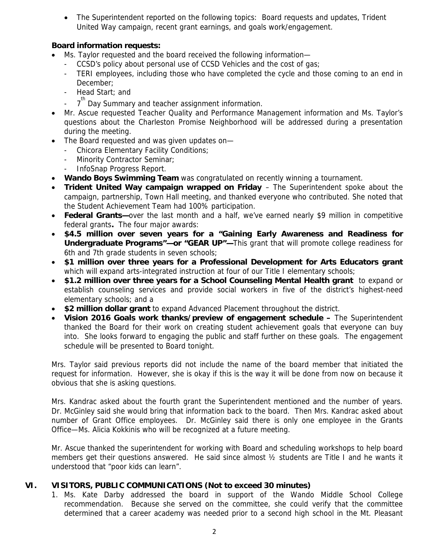• The Superintendent reported on the following topics: Board requests and updates, Trident United Way campaign, recent grant earnings, and goals work/engagement.

# **Board information requests:**

- Ms. Taylor requested and the board received the following information—
	- CCSD's policy about personal use of CCSD Vehicles and the cost of gas;
	- TERI employees, including those who have completed the cycle and those coming to an end in December;
	- Head Start; and
	- <sup>th</sup> Day Summary and teacher assignment information.
- Mr. Ascue requested Teacher Quality and Performance Management information and Ms. Taylor's questions about the Charleston Promise Neighborhood will be addressed during a presentation during the meeting.
- The Board requested and was given updates on—
	- Chicora Elementary Facility Conditions;
	- Minority Contractor Seminar;
	- InfoSnap Progress Report.
- **Wando Boys Swimming Team** was congratulated on recently winning a tournament.
- **Trident United Way campaign wrapped on Friday** The Superintendent spoke about the campaign, partnership, Town Hall meeting, and thanked everyone who contributed. She noted that the Student Achievement Team had 100% participation.
- **Federal Grants**—over the last month and a half, we've earned nearly \$9 million in competitive federal grants**.** The four major awards:
- **\$4.5 million over seven years for a "Gaining Early Awareness and Readiness for Undergraduate Programs"—or "GEAR UP"—**This grant that will promote college readiness for 6th and 7th grade students in seven schools;
- **\$1 million over three years for a Professional Development for Arts Educators grant** which will expand arts-integrated instruction at four of our Title I elementary schools;
- **\$1.2 million over three years for a School Counseling Mental Health grant** to expand or establish counseling services and provide social workers in five of the district's highest-need elementary schools; and a
- **\$2 million dollar grant** to expand Advanced Placement throughout the district.
- **Vision 2016 Goals work thanks/preview of engagement schedule** The Superintendent thanked the Board for their work on creating student achievement goals that everyone can buy into. She looks forward to engaging the public and staff further on these goals. The engagement schedule will be presented to Board tonight.

Mrs. Taylor said previous reports did not include the name of the board member that initiated the request for information. However, she is okay if this is the way it will be done from now on because it obvious that she is asking questions.

Mrs. Kandrac asked about the fourth grant the Superintendent mentioned and the number of years. Dr. McGinley said she would bring that information back to the board. Then Mrs. Kandrac asked about number of Grant Office employees. Dr. McGinley said there is only one employee in the Grants Office—Ms. Alicia Kokkinis who will be recognized at a future meeting.

Mr. Ascue thanked the superintendent for working with Board and scheduling workshops to help board members get their questions answered. He said since almost ½ students are Title I and he wants it understood that "poor kids can learn".

# **VI. VISITORS, PUBLIC COMMUNICATIONS (Not to exceed 30 minutes)**

1. Ms. Kate Darby addressed the board in support of the Wando Middle School College recommendation. Because she served on the committee, she could verify that the committee determined that a career academy was needed prior to a second high school in the Mt. Pleasant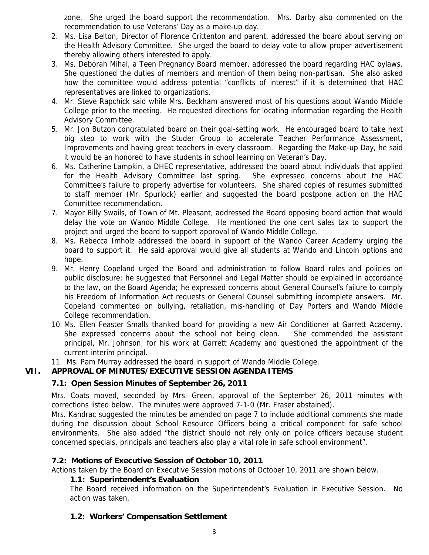zone. She urged the board support the recommendation. Mrs. Darby also commented on the recommendation to use Veterans' Day as a make-up day.

- 2. Ms. Lisa Belton, Director of Florence Crittenton and parent, addressed the board about serving on the Health Advisory Committee. She urged the board to delay vote to allow proper advertisement thereby allowing others interested to apply.
- 3. Ms. Deborah Mihal, a Teen Pregnancy Board member, addressed the board regarding HAC bylaws. She questioned the duties of members and mention of them being non-partisan. She also asked how the committee would address potential "conflicts of interest" if it is determined that HAC representatives are linked to organizations.
- 4. Mr. Steve Rapchick said while Mrs. Beckham answered most of his questions about Wando Middle College prior to the meeting. He requested directions for locating information regarding the Health Advisory Committee.
- 5. Mr. Jon Butzon congratulated board on their goal-setting work. He encouraged board to take next big step to work with the Studer Group to accelerate Teacher Performance Assessment, Improvements and having great teachers in every classroom. Regarding the Make-up Day, he said it would be an honored to have students in school learning on Veteran's Day.
- 6. Ms. Catherine Lampkin, a DHEC representative, addressed the board about individuals that applied for the Health Advisory Committee last spring. She expressed concerns about the HAC Committee's failure to properly advertise for volunteers. She shared copies of resumes submitted to staff member (Mr. Spurlock) earlier and suggested the board postpone action on the HAC Committee recommendation.
- 7. Mayor Billy Swails, of Town of Mt. Pleasant, addressed the Board opposing board action that would delay the vote on Wando Middle College. He mentioned the one cent sales tax to support the project and urged the board to support approval of Wando Middle College.
- 8. Ms. Rebecca Imholz addressed the board in support of the Wando Career Academy urging the board to support it. He said approval would give all students at Wando and Lincoln options and hope.
- 9. Mr. Henry Copeland urged the Board and administration to follow Board rules and policies on public disclosure; he suggested that Personnel and Legal Matter should be explained in accordance to the law, on the Board Agenda; he expressed concerns about General Counsel's failure to comply his Freedom of Information Act requests or General Counsel submitting incomplete answers. Mr. Copeland commented on bullying, retaliation, mis-handling of Day Porters and Wando Middle College recommendation.
- 10. Ms. Ellen Feaster Smalls thanked board for providing a new Air Conditioner at Garrett Academy. She expressed concerns about the school not being clean. She commended the assistant principal, Mr. Johnson, for his work at Garrett Academy and questioned the appointment of the current interim principal.

11. Ms. Pam Murray addressed the board in support of Wando Middle College.

# **VII. APPROVAL OF MINUTES/EXECUTIVE SESSION AGENDA ITEMS**

## **7.1: Open Session Minutes of September 26, 2011**

Mrs. Coats moved, seconded by Mrs. Green, approval of the September 26, 2011 minutes with corrections listed below. The minutes were approved 7-1-0 (Mr. Fraser abstained).

Mrs. Kandrac suggested the minutes be amended on page 7 to include additional comments she made during the discussion about School Resource Officers being a critical component for safe school environments. She also added "the district should not rely only on police officers because student concerned specials, principals and teachers also play a vital role in safe school environment".

## **7.2: Motions of Executive Session of October 10, 2011**

Actions taken by the Board on Executive Session motions of October 10, 2011 are shown below.

## **1.1: Superintendent's Evaluation**

The Board received information on the Superintendent's Evaluation in Executive Session. No action was taken.

# **1.2: Workers' Compensation Settlement**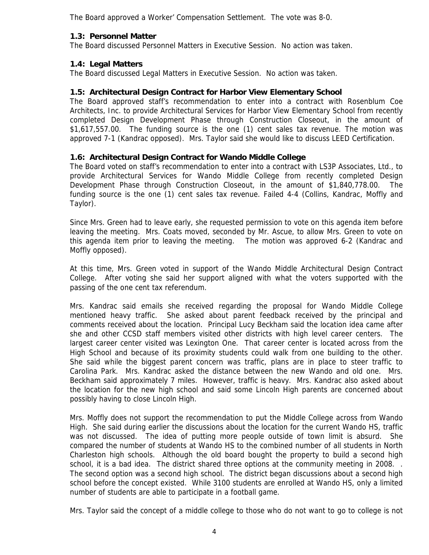The Board approved a Worker' Compensation Settlement. The vote was 8-0.

## **1.3: Personnel Matter**

The Board discussed Personnel Matters in Executive Session. No action was taken.

# **1.4: Legal Matters**

The Board discussed Legal Matters in Executive Session. No action was taken.

# **1.5: Architectural Design Contract for Harbor View Elementary School**

The Board approved staff's recommendation to enter into a contract with Rosenblum Coe Architects, Inc. to provide Architectural Services for Harbor View Elementary School from recently completed Design Development Phase through Construction Closeout, in the amount of \$1,617,557.00. The funding source is the one (1) cent sales tax revenue. The motion was approved 7-1 (Kandrac opposed). Mrs. Taylor said she would like to discuss LEED Certification.

# **1.6: Architectural Design Contract for Wando Middle College**

The Board voted on staff's recommendation to enter into a contract with LS3P Associates, Ltd., to provide Architectural Services for Wando Middle College from recently completed Design Development Phase through Construction Closeout, in the amount of \$1,840,778.00. The funding source is the one (1) cent sales tax revenue. Failed 4-4 (Collins, Kandrac, Moffly and Taylor).

Since Mrs. Green had to leave early, she requested permission to vote on this agenda item before leaving the meeting. Mrs. Coats moved, seconded by Mr. Ascue, to allow Mrs. Green to vote on this agenda item prior to leaving the meeting. The motion was approved 6-2 (Kandrac and Moffly opposed).

At this time, Mrs. Green voted in support of the Wando Middle Architectural Design Contract College. After voting she said her support aligned with what the voters supported with the passing of the one cent tax referendum.

Mrs. Kandrac said emails she received regarding the proposal for Wando Middle College mentioned heavy traffic. She asked about parent feedback received by the principal and comments received about the location. Principal Lucy Beckham said the location idea came after she and other CCSD staff members visited other districts with high level career centers. The largest career center visited was Lexington One. That career center is located across from the High School and because of its proximity students could walk from one building to the other. She said while the biggest parent concern was traffic, plans are in place to steer traffic to Carolina Park. Mrs. Kandrac asked the distance between the new Wando and old one. Mrs. Beckham said approximately 7 miles. However, traffic is heavy. Mrs. Kandrac also asked about the location for the new high school and said some Lincoln High parents are concerned about possibly having to close Lincoln High.

Mrs. Moffly does not support the recommendation to put the Middle College across from Wando High. She said during earlier the discussions about the location for the current Wando HS, traffic was not discussed. The idea of putting more people outside of town limit is absurd. She compared the number of students at Wando HS to the combined number of all students in North Charleston high schools. Although the old board bought the property to build a second high school, it is a bad idea. The district shared three options at the community meeting in 2008. . The second option was a second high school. The district began discussions about a second high school before the concept existed. While 3100 students are enrolled at Wando HS, only a limited number of students are able to participate in a football game.

Mrs. Taylor said the concept of a middle college to those who do not want to go to college is not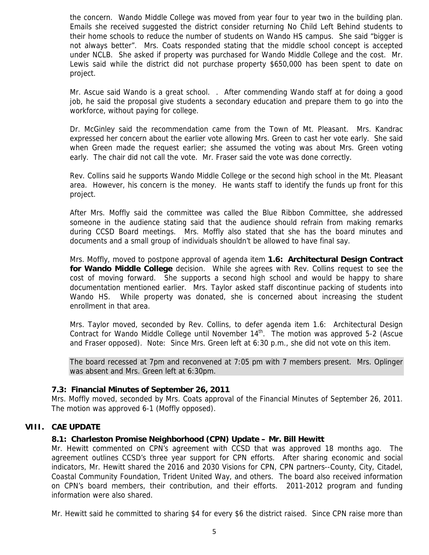the concern. Wando Middle College was moved from year four to year two in the building plan. Emails she received suggested the district consider returning No Child Left Behind students to their home schools to reduce the number of students on Wando HS campus. She said "bigger is not always better". Mrs. Coats responded stating that the middle school concept is accepted under NCLB. She asked if property was purchased for Wando Middle College and the cost. Mr. Lewis said while the district did not purchase property \$650,000 has been spent to date on project.

Mr. Ascue said Wando is a great school. . After commending Wando staff at for doing a good job, he said the proposal give students a secondary education and prepare them to go into the workforce, without paying for college.

Dr. McGinley said the recommendation came from the Town of Mt. Pleasant. Mrs. Kandrac expressed her concern about the earlier vote allowing Mrs. Green to cast her vote early. She said when Green made the request earlier; she assumed the voting was about Mrs. Green voting early. The chair did not call the vote. Mr. Fraser said the vote was done correctly.

Rev. Collins said he supports Wando Middle College or the second high school in the Mt. Pleasant area. However, his concern is the money. He wants staff to identify the funds up front for this project.

After Mrs. Moffly said the committee was called the Blue Ribbon Committee, she addressed someone in the audience stating said that the audience should refrain from making remarks during CCSD Board meetings. Mrs. Moffly also stated that she has the board minutes and documents and a small group of individuals shouldn't be allowed to have final say.

Mrs. Moffly, moved to postpone approval of agenda item **1.6: Architectural Design Contract for Wando Middle College** decision. While she agrees with Rev. Collins request to see the cost of moving forward. She supports a second high school and would be happy to share documentation mentioned earlier. Mrs. Taylor asked staff discontinue packing of students into Wando HS. While property was donated, she is concerned about increasing the student enrollment in that area.

Mrs. Taylor moved, seconded by Rev. Collins, to defer agenda item 1.6: Architectural Design Contract for Wando Middle College until November 14<sup>th</sup>. The motion was approved 5-2 (Ascue and Fraser opposed). Note: Since Mrs. Green left at 6:30 p.m., she did not vote on this item.

The board recessed at 7pm and reconvened at 7:05 pm with 7 members present. Mrs. Oplinger was absent and Mrs. Green left at 6:30pm.

#### **7.3: Financial Minutes of September 26, 2011**

Mrs. Moffly moved, seconded by Mrs. Coats approval of the Financial Minutes of September 26, 2011. The motion was approved 6-1 (Moffly opposed).

#### **VIII. CAE UPDATE**

#### **8.1: Charleston Promise Neighborhood (CPN) Update – Mr. Bill Hewitt**

Mr. Hewitt commented on CPN's agreement with CCSD that was approved 18 months ago. The agreement outlines CCSD's three year support for CPN efforts. After sharing economic and social indicators, Mr. Hewitt shared the 2016 and 2030 Visions for CPN, CPN partners--County, City, Citadel, Coastal Community Foundation, Trident United Way, and others. The board also received information on CPN's board members, their contribution, and their efforts. 2011-2012 program and funding information were also shared.

Mr. Hewitt said he committed to sharing \$4 for every \$6 the district raised. Since CPN raise more than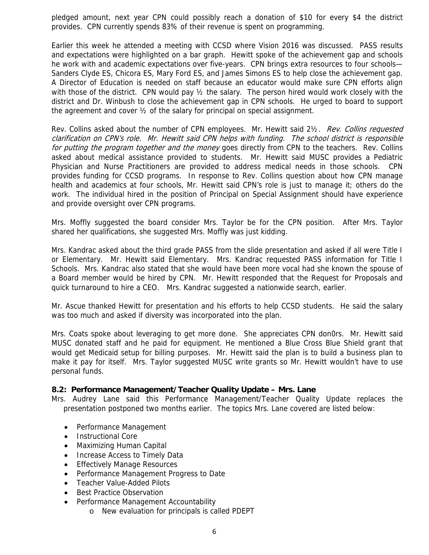pledged amount, next year CPN could possibly reach a donation of \$10 for every \$4 the district provides. CPN currently spends 83% of their revenue is spent on programming.

Earlier this week he attended a meeting with CCSD where Vision 2016 was discussed. PASS results and expectations were highlighted on a bar graph. Hewitt spoke of the achievement gap and schools he work with and academic expectations over five-years. CPN brings extra resources to four schools— Sanders Clyde ES, Chicora ES, Mary Ford ES, and James Simons ES to help close the achievement gap. A Director of Education is needed on staff because an educator would make sure CPN efforts align with those of the district. CPN would pay  $\frac{1}{2}$  the salary. The person hired would work closely with the district and Dr. Winbush to close the achievement gap in CPN schools. He urged to board to support the agreement and cover ½ of the salary for principal on special assignment.

Rev. Collins asked about the number of CPN employees. Mr. Hewitt said 21/2. Rev. Collins requested clarification on CPN's role. Mr. Hewitt said CPN helps with funding. The school district is responsible for putting the program together and the money goes directly from CPN to the teachers. Rev. Collins asked about medical assistance provided to students. Mr. Hewitt said MUSC provides a Pediatric Physician and Nurse Practitioners are provided to address medical needs in those schools. CPN provides funding for CCSD programs. In response to Rev. Collins question about how CPN manage health and academics at four schools, Mr. Hewitt said CPN's role is just to manage it; others do the work. The individual hired in the position of Principal on Special Assignment should have experience and provide oversight over CPN programs.

Mrs. Moffly suggested the board consider Mrs. Taylor be for the CPN position. After Mrs. Taylor shared her qualifications, she suggested Mrs. Moffly was just kidding.

Mrs. Kandrac asked about the third grade PASS from the slide presentation and asked if all were Title I or Elementary. Mr. Hewitt said Elementary. Mrs. Kandrac requested PASS information for Title I Schools. Mrs. Kandrac also stated that she would have been more vocal had she known the spouse of a Board member would be hired by CPN. Mr. Hewitt responded that the Request for Proposals and quick turnaround to hire a CEO. Mrs. Kandrac suggested a nationwide search, earlier.

Mr. Ascue thanked Hewitt for presentation and his efforts to help CCSD students. He said the salary was too much and asked if diversity was incorporated into the plan.

Mrs. Coats spoke about leveraging to get more done. She appreciates CPN don0rs. Mr. Hewitt said MUSC donated staff and he paid for equipment. He mentioned a Blue Cross Blue Shield grant that would get Medicaid setup for billing purposes. Mr. Hewitt said the plan is to build a business plan to make it pay for itself. Mrs. Taylor suggested MUSC write grants so Mr. Hewitt wouldn't have to use personal funds.

#### **8.2: Performance Management/Teacher Quality Update – Mrs. Lane**

Mrs. Audrey Lane said this Performance Management/Teacher Quality Update replaces the presentation postponed two months earlier. The topics Mrs. Lane covered are listed below:

- Performance Management
- Instructional Core
- Maximizing Human Capital
- Increase Access to Timely Data
- Effectively Manage Resources
- Performance Management Progress to Date
- Teacher Value-Added Pilots
- **Best Practice Observation**
- Performance Management Accountability
	- o New evaluation for principals is called PDEPT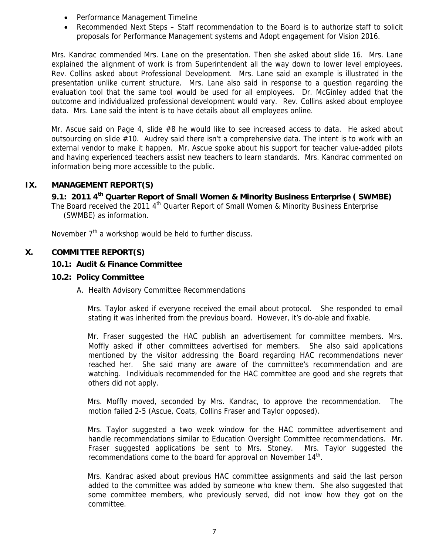- Performance Management Timeline
- Recommended Next Steps Staff recommendation to the Board is to authorize staff to solicit proposals for Performance Management systems and Adopt engagement for Vision 2016.

Mrs. Kandrac commended Mrs. Lane on the presentation. Then she asked about slide 16. Mrs. Lane explained the alignment of work is from Superintendent all the way down to lower level employees. Rev. Collins asked about Professional Development. Mrs. Lane said an example is illustrated in the presentation unlike current structure. Mrs. Lane also said in response to a question regarding the evaluation tool that the same tool would be used for all employees. Dr. McGinley added that the outcome and individualized professional development would vary. Rev. Collins asked about employee data. Mrs. Lane said the intent is to have details about all employees online.

Mr. Ascue said on Page 4, slide #8 he would like to see increased access to data. He asked about outsourcing on slide #10. Audrey said there isn't a comprehensive data. The intent is to work with an external vendor to make it happen. Mr. Ascue spoke about his support for teacher value-added pilots and having experienced teachers assist new teachers to learn standards. Mrs. Kandrac commented on information being more accessible to the public.

# **IX. MANAGEMENT REPORT(S)**

 **9.1: 2011 4th Quarter Report of Small Women & Minority Business Enterprise ( SWMBE)** 

The Board received the 2011  $4<sup>th</sup>$  Quarter Report of Small Women & Minority Business Enterprise (SWMBE) as information.

November  $7<sup>th</sup>$  a workshop would be held to further discuss.

# **X. COMMITTEE REPORT(S)**

## **10.1: Audit & Finance Committee**

#### **10.2: Policy Committee**

A. Health Advisory Committee Recommendations

Mrs. Taylor asked if everyone received the email about protocol. She responded to email stating it was inherited from the previous board. However, it's do-able and fixable.

Mr. Fraser suggested the HAC publish an advertisement for committee members. Mrs. Moffly asked if other committees advertised for members. She also said applications mentioned by the visitor addressing the Board regarding HAC recommendations never reached her. She said many are aware of the committee's recommendation and are watching. Individuals recommended for the HAC committee are good and she regrets that others did not apply.

Mrs. Moffly moved, seconded by Mrs. Kandrac, to approve the recommendation. The motion failed 2-5 (Ascue, Coats, Collins Fraser and Taylor opposed).

Mrs. Taylor suggested a two week window for the HAC committee advertisement and handle recommendations similar to Education Oversight Committee recommendations. Mr. Fraser suggested applications be sent to Mrs. Stoney. Mrs. Taylor suggested the recommendations come to the board for approval on November 14th.

Mrs. Kandrac asked about previous HAC committee assignments and said the last person added to the committee was added by someone who knew them. She also suggested that some committee members, who previously served, did not know how they got on the committee.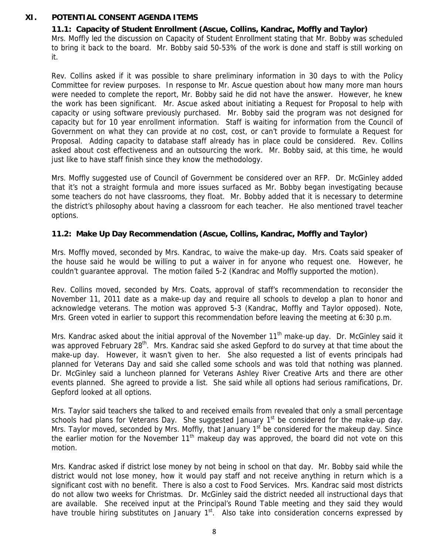# **XI. POTENTIAL CONSENT AGENDA ITEMS**

# **11.1: Capacity of Student Enrollment (Ascue, Collins, Kandrac, Moffly and Taylor)**

Mrs. Moffly led the discussion on Capacity of Student Enrollment stating that Mr. Bobby was scheduled to bring it back to the board. Mr. Bobby said 50-53% of the work is done and staff is still working on it.

Rev. Collins asked if it was possible to share preliminary information in 30 days to with the Policy Committee for review purposes. In response to Mr. Ascue question about how many more man hours were needed to complete the report, Mr. Bobby said he did not have the answer. However, he knew the work has been significant. Mr. Ascue asked about initiating a Request for Proposal to help with capacity or using software previously purchased. Mr. Bobby said the program was not designed for capacity but for 10 year enrollment information. Staff is waiting for information from the Council of Government on what they can provide at no cost, cost, or can't provide to formulate a Request for Proposal. Adding capacity to database staff already has in place could be considered. Rev. Collins asked about cost effectiveness and an outsourcing the work. Mr. Bobby said, at this time, he would just like to have staff finish since they know the methodology.

Mrs. Moffly suggested use of Council of Government be considered over an RFP. Dr. McGinley added that it's not a straight formula and more issues surfaced as Mr. Bobby began investigating because some teachers do not have classrooms, they float. Mr. Bobby added that it is necessary to determine the district's philosophy about having a classroom for each teacher. He also mentioned travel teacher options.

## **11.2: Make Up Day Recommendation (Ascue, Collins, Kandrac, Moffly and Taylor)**

Mrs. Moffly moved, seconded by Mrs. Kandrac, to waive the make-up day. Mrs. Coats said speaker of the house said he would be willing to put a waiver in for anyone who request one. However, he couldn't guarantee approval. The motion failed 5-2 (Kandrac and Moffly supported the motion).

Rev. Collins moved, seconded by Mrs. Coats, approval of staff's recommendation to reconsider the November 11, 2011 date as a make-up day and require all schools to develop a plan to honor and acknowledge veterans. The motion was approved 5-3 (Kandrac, Moffly and Taylor opposed). Note, Mrs. Green voted in earlier to support this recommendation before leaving the meeting at 6:30 p.m.

Mrs. Kandrac asked about the initial approval of the November 11<sup>th</sup> make-up day. Dr. McGinley said it was approved February 28<sup>th</sup>. Mrs. Kandrac said she asked Gepford to do survey at that time about the make-up day. However, it wasn't given to her. She also requested a list of events principals had planned for Veterans Day and said she called some schools and was told that nothing was planned. Dr. McGinley said a luncheon planned for Veterans Ashley River Creative Arts and there are other events planned. She agreed to provide a list. She said while all options had serious ramifications, Dr. Gepford looked at all options.

Mrs. Taylor said teachers she talked to and received emails from revealed that only a small percentage schools had plans for Veterans Day. She suggested January  $1<sup>st</sup>$  be considered for the make-up day. Mrs. Taylor moved, seconded by Mrs. Moffly, that January  $1<sup>st</sup>$  be considered for the makeup day. Since the earlier motion for the November  $11<sup>th</sup>$  makeup day was approved, the board did not vote on this motion.

Mrs. Kandrac asked if district lose money by not being in school on that day. Mr. Bobby said while the district would not lose money, how it would pay staff and not receive anything in return which is a significant cost with no benefit. There is also a cost to Food Services. Mrs. Kandrac said most districts do not allow two weeks for Christmas. Dr. McGinley said the district needed all instructional days that are available. She received input at the Principal's Round Table meeting and they said they would have trouble hiring substitutes on January  $1<sup>st</sup>$ . Also take into consideration concerns expressed by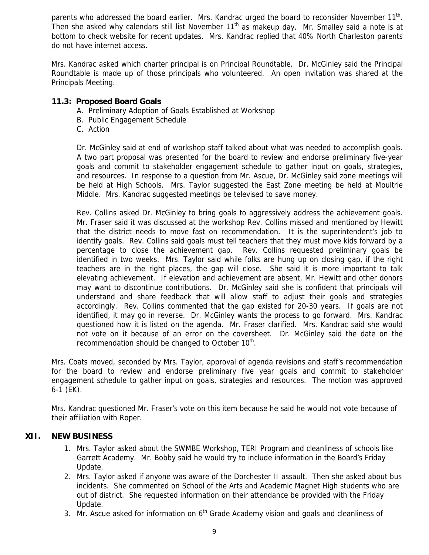parents who addressed the board earlier. Mrs. Kandrac urged the board to reconsider November  $11<sup>th</sup>$ . Then she asked why calendars still list November  $11<sup>th</sup>$  as makeup day. Mr. Smalley said a note is at bottom to check website for recent updates. Mrs. Kandrac replied that 40% North Charleston parents do not have internet access.

Mrs. Kandrac asked which charter principal is on Principal Roundtable. Dr. McGinley said the Principal Roundtable is made up of those principals who volunteered. An open invitation was shared at the Principals Meeting.

# **11.3: Proposed Board Goals**

- A. Preliminary Adoption of Goals Established at Workshop
- B. Public Engagement Schedule
- C. Action

Dr. McGinley said at end of workshop staff talked about what was needed to accomplish goals. A two part proposal was presented for the board to review and endorse preliminary five-year goals and commit to stakeholder engagement schedule to gather input on goals, strategies, and resources. In response to a question from Mr. Ascue, Dr. McGinley said zone meetings will be held at High Schools. Mrs. Taylor suggested the East Zone meeting be held at Moultrie Middle. Mrs. Kandrac suggested meetings be televised to save money.

Rev. Collins asked Dr. McGinley to bring goals to aggressively address the achievement goals. Mr. Fraser said it was discussed at the workshop Rev. Collins missed and mentioned by Hewitt that the district needs to move fast on recommendation. It is the superintendent's job to identify goals. Rev. Collins said goals must tell teachers that they must move kids forward by a percentage to close the achievement gap. Rev. Collins requested preliminary goals be identified in two weeks. Mrs. Taylor said while folks are hung up on closing gap, if the right teachers are in the right places, the gap will close. She said it is more important to talk elevating achievement. If elevation and achievement are absent, Mr. Hewitt and other donors may want to discontinue contributions. Dr. McGinley said she is confident that principals will understand and share feedback that will allow staff to adjust their goals and strategies accordingly. Rev. Collins commented that the gap existed for 20-30 years. If goals are not identified, it may go in reverse. Dr. McGinley wants the process to go forward. Mrs. Kandrac questioned how it is listed on the agenda. Mr. Fraser clarified. Mrs. Kandrac said she would not vote on it because of an error on the coversheet. Dr. McGinley said the date on the recommendation should be changed to October 10<sup>th</sup>.

Mrs. Coats moved, seconded by Mrs. Taylor, approval of agenda revisions and staff's recommendation for the board to review and endorse preliminary five year goals and commit to stakeholder engagement schedule to gather input on goals, strategies and resources. The motion was approved 6-1 (EK).

Mrs. Kandrac questioned Mr. Fraser's vote on this item because he said he would not vote because of their affiliation with Roper.

# **XII. NEW BUSINESS**

- 1. Mrs. Taylor asked about the SWMBE Workshop, TERI Program and cleanliness of schools like Garrett Academy. Mr. Bobby said he would try to include information in the Board's Friday Update.
- 2. Mrs. Taylor asked if anyone was aware of the Dorchester II assault. Then she asked about bus incidents. She commented on School of the Arts and Academic Magnet High students who are out of district. She requested information on their attendance be provided with the Friday Update.
- 3. Mr. Ascue asked for information on  $6<sup>th</sup>$  Grade Academy vision and goals and cleanliness of